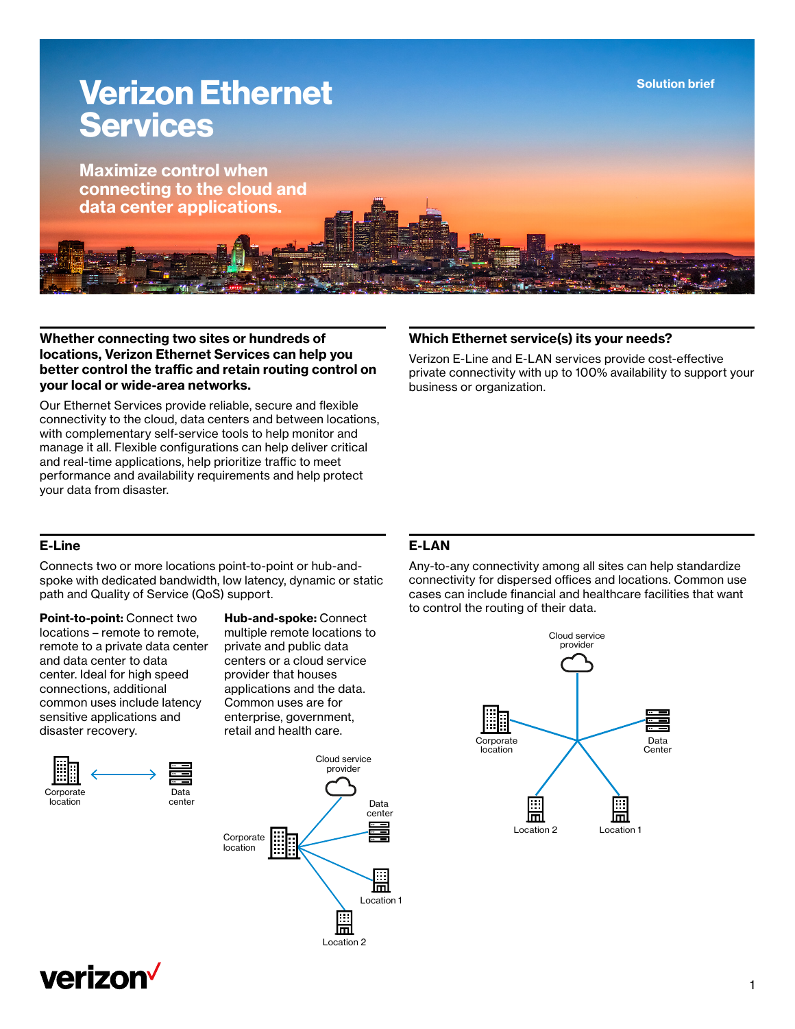

## **Whether connecting two sites or hundreds of locations, Verizon Ethernet Services can help you better control the traffic and retain routing control on your local or wide-area networks.**

Our Ethernet Services provide reliable, secure and flexible connectivity to the cloud, data centers and between locations, with complementary self-service tools to help monitor and manage it all. Flexible configurations can help deliver critical and real-time applications, help prioritize traffic to meet performance and availability requirements and help protect your data from disaster.

## **Which Ethernet service(s) its your needs?**

Verizon E-Line and E-LAN services provide cost-effective private connectivity with up to 100% availability to support your business or organization.

## **E-Line**

Connects two or more locations point-to-point or hub-andspoke with dedicated bandwidth, low latency, dynamic or static path and Quality of Service (QoS) support.

**Point-to-point:** Connect two locations – remote to remote, remote to a private data center and data center to data center. Ideal for high speed connections, additional common uses include latency sensitive applications and disaster recovery.



Data center **Hub-and-spoke:** Connect multiple remote locations to private and public data centers or a cloud service provider that houses applications and the data. Common uses are for enterprise, government, retail and health care.



# **E-LAN**

Any-to-any connectivity among all sites can help standardize connectivity for dispersed offices and locations. Common use cases can include financial and healthcare facilities that want to control the routing of their data.